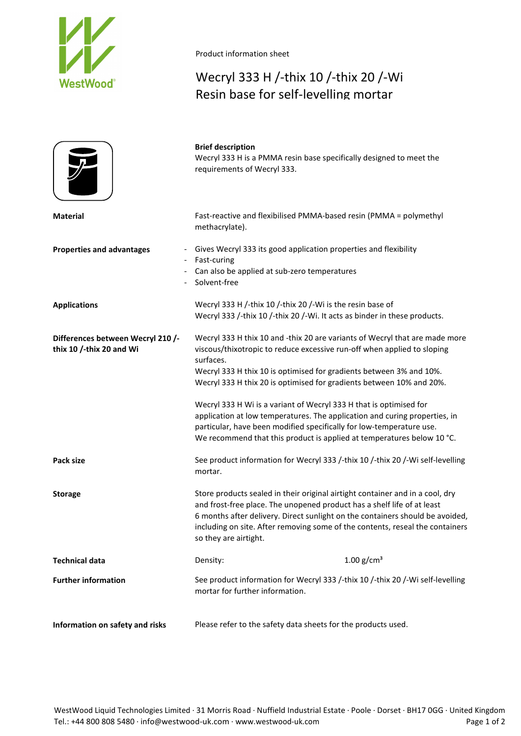

Product information sheet

## Wecryl 333 H /-thix 10 /-thix 20 /-Wi Resin base for self-levelling mortar

|                                                               | <b>Brief description</b><br>Wecryl 333 H is a PMMA resin base specifically designed to meet the<br>requirements of Wecryl 333.                                                                                                                                                                                                                                                                                                                                                                                                                                                                                           |
|---------------------------------------------------------------|--------------------------------------------------------------------------------------------------------------------------------------------------------------------------------------------------------------------------------------------------------------------------------------------------------------------------------------------------------------------------------------------------------------------------------------------------------------------------------------------------------------------------------------------------------------------------------------------------------------------------|
| <b>Material</b>                                               | Fast-reactive and flexibilised PMMA-based resin (PMMA = polymethyl<br>methacrylate).                                                                                                                                                                                                                                                                                                                                                                                                                                                                                                                                     |
| <b>Properties and advantages</b>                              | Gives Wecryl 333 its good application properties and flexibility<br>Fast-curing<br>Can also be applied at sub-zero temperatures<br>Solvent-free                                                                                                                                                                                                                                                                                                                                                                                                                                                                          |
| <b>Applications</b>                                           | Wecryl 333 H /-thix 10 /-thix 20 /-Wi is the resin base of<br>Wecryl 333 /-thix 10 /-thix 20 /-Wi. It acts as binder in these products.                                                                                                                                                                                                                                                                                                                                                                                                                                                                                  |
| Differences between Wecryl 210 /-<br>thix 10 /-thix 20 and Wi | Wecryl 333 H thix 10 and -thix 20 are variants of Wecryl that are made more<br>viscous/thixotropic to reduce excessive run-off when applied to sloping<br>surfaces.<br>Wecryl 333 H thix 10 is optimised for gradients between 3% and 10%.<br>Wecryl 333 H thix 20 is optimised for gradients between 10% and 20%.<br>Wecryl 333 H Wi is a variant of Wecryl 333 H that is optimised for<br>application at low temperatures. The application and curing properties, in<br>particular, have been modified specifically for low-temperature use.<br>We recommend that this product is applied at temperatures below 10 °C. |
| Pack size                                                     | See product information for Wecryl 333 /-thix 10 /-thix 20 /-Wi self-levelling<br>mortar.                                                                                                                                                                                                                                                                                                                                                                                                                                                                                                                                |
| <b>Storage</b>                                                | Store products sealed in their original airtight container and in a cool, dry<br>and frost-free place. The unopened product has a shelf life of at least<br>6 months after delivery. Direct sunlight on the containers should be avoided,<br>including on site. After removing some of the contents, reseal the containers<br>so they are airtight.                                                                                                                                                                                                                                                                      |
| <b>Technical data</b>                                         | 1.00 $g/cm^{3}$<br>Density:                                                                                                                                                                                                                                                                                                                                                                                                                                                                                                                                                                                              |
| <b>Further information</b>                                    | See product information for Wecryl 333 /-thix 10 /-thix 20 /-Wi self-levelling<br>mortar for further information.                                                                                                                                                                                                                                                                                                                                                                                                                                                                                                        |
| Information on safety and risks                               | Please refer to the safety data sheets for the products used.                                                                                                                                                                                                                                                                                                                                                                                                                                                                                                                                                            |